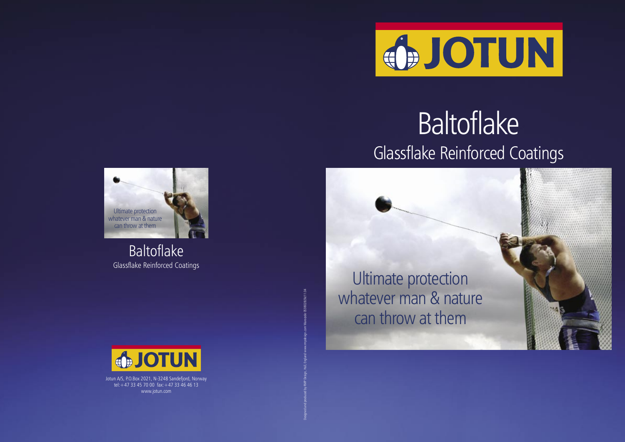

## Baltoflake Glassflake Reinforced Coatings

Jotun A/S, P.O.Box 2021, N-3248 Sandefjord, Norway tel:+47 33 45 70 00 fax:+47 33 46 46 13 www.jotun.com

Baltoflake Glassflake Reinforced Coatings



Designed and produced by RMP Design, Hull, England www.rmpdesign.com Warecode 0538028/3k/11.04

Ultimate protection whatever man & nature can throw at them



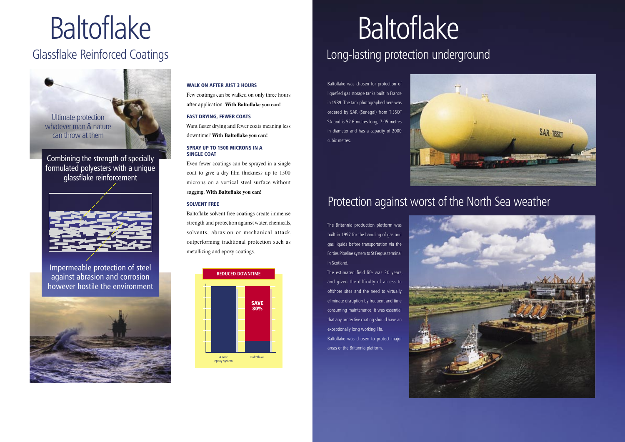# Baltoflake

### Glassflake Reinforced Coatings



Impermeable protection of steel against abrasion and corrosion however hostile the environment



Combining the strength of specially formulated polyesters with a unique glassflake reinforcement



# Baltoflake

### Long-lasting protection underground

Baltoflake was chosen for protection of liquefied gas storage tanks built in France in 1989. The tank photographed here was ordered by SAR (Senegal) from TISSOT SA and is 52.6 metres long, 7.05 metres in diameter and has a capacity of 2000 cubic metres.



### Protection against worst of the North Sea weather

The Britannia production platform was built in 1997 for the handling of gas and gas liquids before transportation via the Forties Pipeline system to St Fergus terminal in Scotland.

The estimated field life was 30 years, and given the difficulty of access to offshore sites and the need to virtually eliminate disruption by frequent and time consuming maintenance, it was essential that any protective coating should have an exceptionally long working life. Baltoflake was chosen to protect majo areas of the Britannia platform.



### WALK ON AFTER JUST 3 HOURS

Few coatings can be walked on only three hours after application. **With Baltoflake you can!**

### FAST DRYING, FEWER COATS

Want faster drying and fewer coats meaning less downtime? **With Baltoflake you can!**

### SPRAY UP TO 1500 MICRONS IN A SINGLE COAT

Even fewer coatings can be sprayed in a single coat to give a dry film thickness up to 1500 microns on a vertical steel surface without sagging. **With Baltoflake you can!**

### SOLVENT FREE

Baltoflake solvent free coatings create immense strength and protection against water, chemicals, solvents, abrasion or mechanical attack, outperforming traditional protection such as metallizing and epoxy coatings.

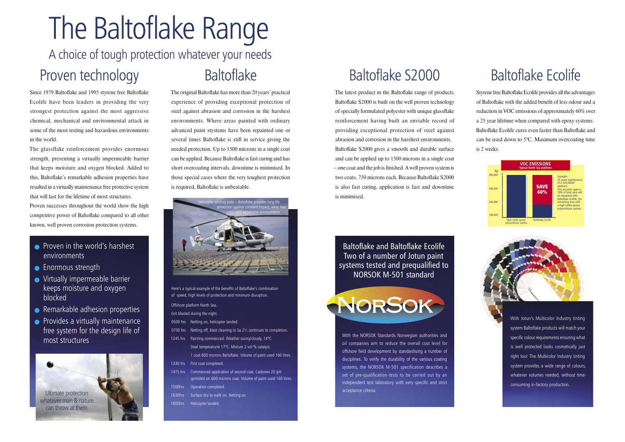## Baltoflake S2000

The latest product in the Baltoflake range of products. Baltoflake S2000 is built on the well proven technology of specially formulated polyester with unique glassflake reinforcement having built an enviable record of providing exceptional protection of steel against abrasion and corrosion in the harshest environments. Baltoflake S2000 gives a smooth and durable surface and can be applied up to 1500 microns in a single coat – one coat and the job is finished. A well proven system is two coats, 750 microns each. Because Baltoflake S2000 is also fast curing, application is fast and downtime is minimised.

Baltoflake and Baltoflake Ecolife Two of a number of Jotun paint systems tested and prequalified to NORSOK M-501 standard



With the NORSOK Standards Norwegian authorities and oil companies aim to reduce the overall cost level for offshore field development by standardising a number of disciplines. To verify the durability of the various coating systems, the NORSOK M-501 specification describes a set of pre-qualification tests to be carried out by an independent test laboratory with very specific and strict acceptance criteria.

## Baltoflake Ecolife

Styrene free Baltoflake Ecolife provides all the advantages of Baltoflake with the added benefit of less odour and a reduction in VOC emissions of approximately 60% over a 25 year lifetime when compared with epoxy systems. Baltoflake Ecolife cures even faster than Baltoflake and can be used down to 5°C. Maximum overcoating time is 2 weeks.

- **•** Proven in the world's harshest environments
- Enormous strength
- **•** Virtually impermeable barrier keeps moisture and oxygen blocked
- **■** Remarkable adhesion properties
- **•** Provides a virtually maintenance free system for the design life of most structures

With Jotun's Multicolor Industry tinting system Baltoflake products will match your specific colour requirements ensuring what is well protected looks cosmetically just right too! The Multicolor Industry tinting system provides a wide range of colours, whatever volumes needed, without timeconsuming in-factory production.



## The Baltoflake Range A choice of tough protection whatever your needs Proven technology **Baltoflake**

Since 1979 Baltoflake and 1995 styrene free Baltoflake Ecolife have been leaders in providing the very strongest protection against the most aggressive chemical, mechanical and environmental attack in some of the most testing and hazardous environments in the world.

The glassflake reinforcement provides enormous strength, presenting a virtually impermeable barrier that keeps moisture and oxygen blocked. Added to this, Baltoflake's remarkable adhesion properties have resulted in a virtually maintenance free protective system that will last for the lifetime of most structures.

Proven successes throughout the world show the high competitive power of Baltoflake compared to all other known, well proven corrosion protection systems.

The original Baltoflake has more than 20 years' practical experience of providing exceptional protection of steel against abrasion and corrosion in the harshest environments. Where areas painted with ordinary advanced paint stystems have been repainted one or several times Baltoflake is still in service giving the needed protection. Up to 1500 microns in a single coat can be applied. Because Baltoflake is fast curing and has short overcoating intervals, downtime is minimised. In those special cases where the very toughest protection is required, Baltoflake is unbeatable.

Here's a typical example of the benefits of Baltoflake's combination of speed, high levels of protection and minimum disruption. Offshore platform North Sea. Grit blasted during the night. 0500 hrs Netting on, helicopter landed 0700 hrs Netting off, blast cleaning to Sa 2½ continues to completion. 1245 hrs Painting commenced. Weather sunny/cloudy, 14ºC. Steel temperaturre 17ºC. Mixture 2 vol % catalyst. 1 coat 600 microns Baltoflake. Volume of paint used 160 litres. 1330 hrs First coat completed. 1415 hrs Commenced application of second coat. Carborex 20 grit sprinkled on 600 microns coat. Volume of paint used 160 litres. 1500hrs Operation completed. 1630hrs Surface dry to walk on. Netting on. 1800hrs Helicopter landed.